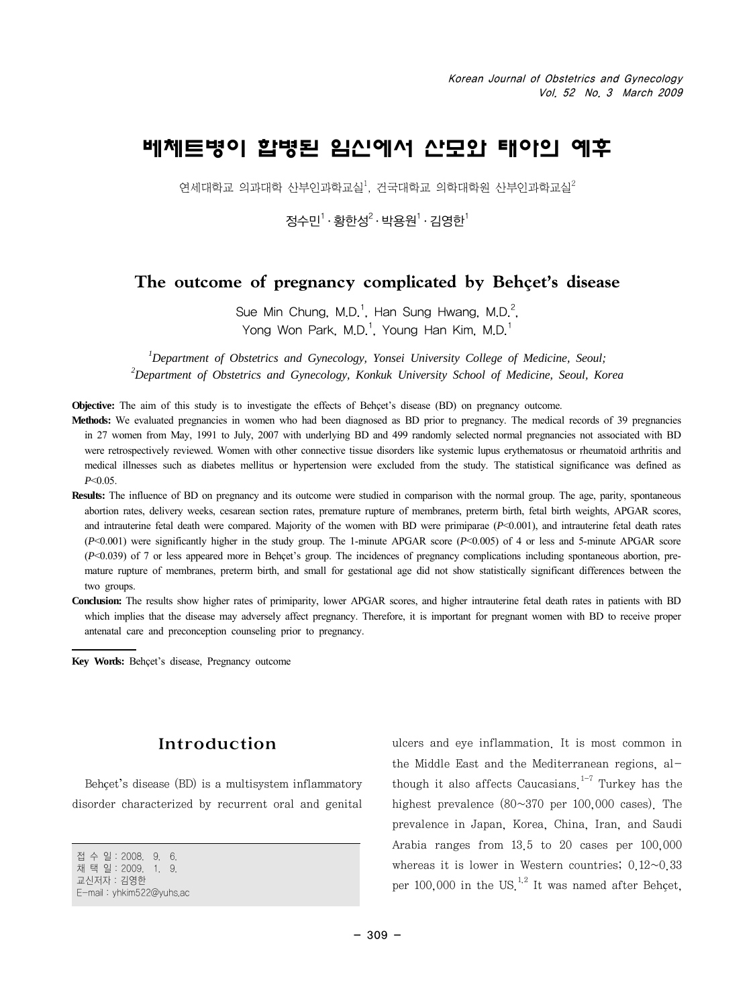# 베체트병이 합병된 임신에서 산모와 태아의 예후

연세대학교 의과대학 산부인과학교실 $^1$ , 건국대학교 의학대학원 산부인과학교실 $^2$ 

정수민<sup>1</sup> · 황한성<sup>2</sup> · 박용원<sup>1</sup> · 김영한<sup>1</sup>

# **The outcome of pregnancy complicated by Behçet's disease**

Sue Min Chung, M.D.<sup>1</sup>, Han Sung Hwang, M.D.<sup>2</sup>, Yong Won Park, M.D.<sup>1</sup>, Young Han Kim, M.D.<sup>1</sup>

*1 Department of Obstetrics and Gynecology, Yonsei University College of Medicine, Seoul; 2 Department of Obstetrics and Gynecology, Konkuk University School of Medicine, Seoul, Korea*

**Objective:** The aim of this study is to investigate the effects of Behçet's disease (BD) on pregnancy outcome.

Methods: We evaluated pregnancies in women who had been diagnosed as BD prior to pregnancy. The medical records of 39 pregnancies in 27 women from May, 1991 to July, 2007 with underlying BD and 499 randomly selected normal pregnancies not associated with BD were retrospectively reviewed. Women with other connective tissue disorders like systemic lupus erythematosus or rheumatoid arthritis and medical illnesses such as diabetes mellitus or hypertension were excluded from the study. The statistical significance was defined as *P*<0.05.

**Results:** The influence of BD on pregnancy and its outcome were studied in comparison with the normal group. The age, parity, spontaneous abortion rates, delivery weeks, cesarean section rates, premature rupture of membranes, preterm birth, fetal birth weights, APGAR scores, and intrauterine fetal death were compared. Majority of the women with BD were primiparae (*P*<0.001), and intrauterine fetal death rates (*P*<0.001) were significantly higher in the study group. The 1-minute APGAR score (*P*<0.005) of 4 or less and 5-minute APGAR score (*P*<0.039) of 7 or less appeared more in Behçet's group. The incidences of pregnancy complications including spontaneous abortion, premature rupture of membranes, preterm birth, and small for gestational age did not show statistically significant differences between the two groups.

**Conclusion:** The results show higher rates of primiparity, lower APGAR scores, and higher intrauterine fetal death rates in patients with BD which implies that the disease may adversely affect pregnancy. Therefore, it is important for pregnant women with BD to receive proper antenatal care and preconception counseling prior to pregnancy.

**Key Words:** Behçet's disease, Pregnancy outcome

### Introduction

Behçet's disease (BD) is a multisystem inflammatory disorder characterized by recurrent oral and genital

접 수 일:2008. 9. 6. 채 택 일:2009. 1. 9. 교신저자:김영한 E-mail:yhkim522@yuhs.ac

ulcers and eye inflammation. It is most common in the Middle East and the Mediterranean regions, although it also affects Caucasians<sup> $1-7$ </sup> Turkey has the highest prevalence (80~370 per 100,000 cases). The prevalence in Japan, Korea, China, Iran, and Saudi Arabia ranges from 13.5 to 20 cases per 100,000 whereas it is lower in Western countries;  $0.12~0.33$ per 100,000 in the US $^{1,2}$  It was named after Behcet.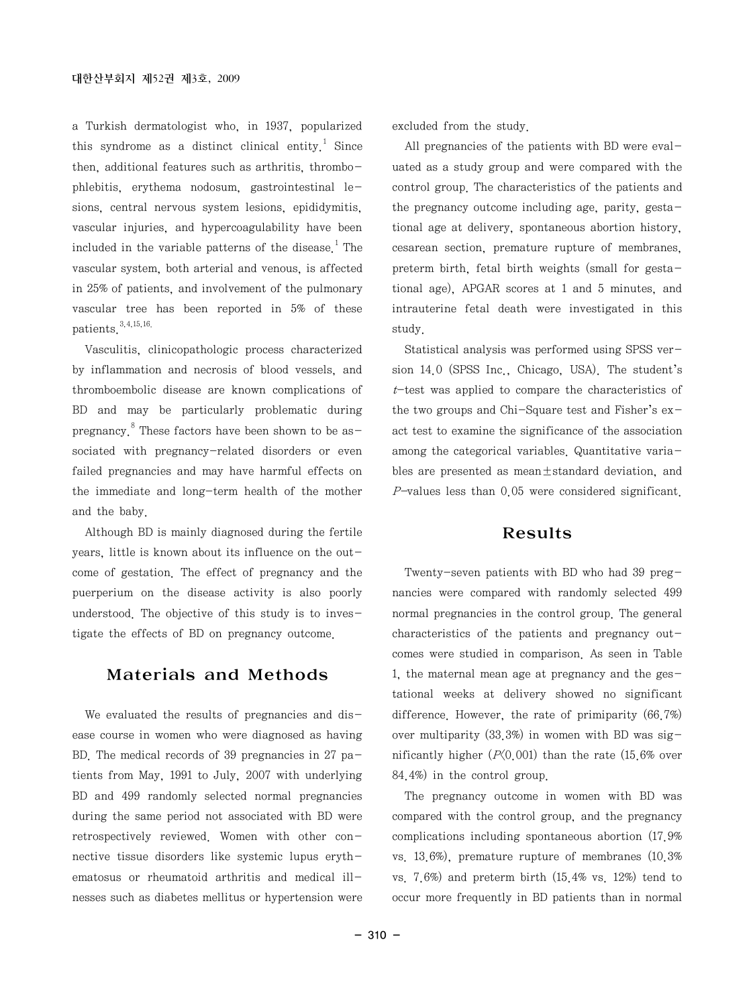a Turkish dermatologist who, in 1937, popularized this syndrome as a distinct clinical entity.<sup>1</sup> Since then, additional features such as arthritis, thrombophlebitis, erythema nodosum, gastrointestinal lesions, central nervous system lesions, epididymitis, vascular injuries, and hypercoagulability have been included in the variable patterns of the disease.<sup>1</sup> The vascular system, both arterial and venous, is affected in 25% of patients, and involvement of the pulmonary vascular tree has been reported in 5% of these patients  $3,4,15,16$ .

Vasculitis, clinicopathologic process characterized by inflammation and necrosis of blood vessels, and thromboembolic disease are known complications of BD and may be particularly problematic during pregnancy. <sup>8</sup> These factors have been shown to be associated with pregnancy-related disorders or even failed pregnancies and may have harmful effects on the immediate and long-term health of the mother and the baby.

Although BD is mainly diagnosed during the fertile years, little is known about its influence on the outcome of gestation. The effect of pregnancy and the puerperium on the disease activity is also poorly understood. The objective of this study is to investigate the effects of BD on pregnancy outcome.

### Materials and Methods

We evaluated the results of pregnancies and disease course in women who were diagnosed as having BD. The medical records of 39 pregnancies in 27 patients from May, 1991 to July, 2007 with underlying BD and 499 randomly selected normal pregnancies during the same period not associated with BD were retrospectively reviewed. Women with other connective tissue disorders like systemic lupus erythematosus or rheumatoid arthritis and medical illnesses such as diabetes mellitus or hypertension were excluded from the study.

All pregnancies of the patients with BD were evaluated as a study group and were compared with the control group. The characteristics of the patients and the pregnancy outcome including age, parity, gestational age at delivery, spontaneous abortion history, cesarean section, premature rupture of membranes, preterm birth, fetal birth weights (small for gestational age), APGAR scores at 1 and 5 minutes, and intrauterine fetal death were investigated in this study.

Statistical analysis was performed using SPSS version 14.0 (SPSS Inc., Chicago, USA). The student's  $t$ -test was applied to compare the characteristics of the two groups and Chi-Square test and Fisher's  $ex$ act test to examine the significance of the association among the categorical variables. Quantitative variables are presented as mean±standard deviation, and  $P$ -values less than 0.05 were considered significant.

#### Results

Twenty-seven patients with BD who had 39 pregnancies were compared with randomly selected 499 normal pregnancies in the control group. The general characteristics of the patients and pregnancy outcomes were studied in comparison. As seen in Table 1, the maternal mean age at pregnancy and the gestational weeks at delivery showed no significant difference. However, the rate of primiparity (66.7%) over multiparity (33.3%) in women with BD was significantly higher  $(P(0.001)$  than the rate  $(15.6\%$  over 84.4%) in the control group.

The pregnancy outcome in women with BD was compared with the control group, and the pregnancy complications including spontaneous abortion (17.9% vs. 13.6%), premature rupture of membranes (10.3% vs. 7.6%) and preterm birth (15.4% vs. 12%) tend to occur more frequently in BD patients than in normal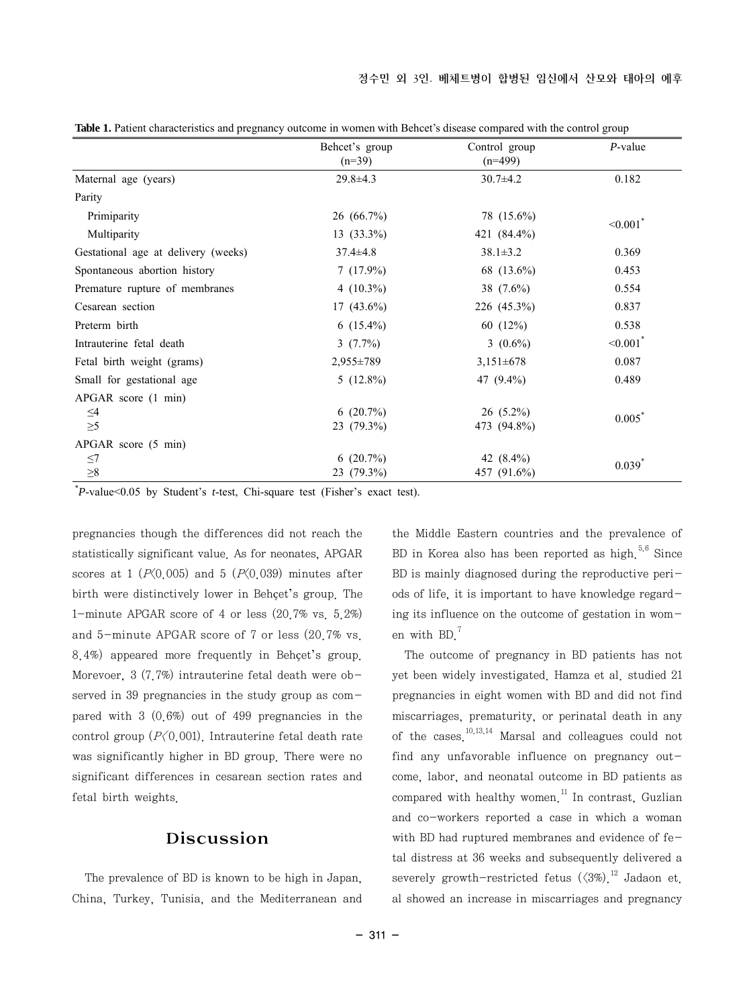|                                     | Behcet's group<br>$(n=39)$ | Control group<br>$(n=499)$ | $P$ -value            |
|-------------------------------------|----------------------------|----------------------------|-----------------------|
| Maternal age (years)                | $29.8 \pm 4.3$             | $30.7 \pm 4.2$             | 0.182                 |
| Parity                              |                            |                            |                       |
| Primiparity                         | 26(66.7%)                  | 78 (15.6%)                 | $<0.001$ <sup>*</sup> |
| Multiparity                         | $13(33.3\%)$               | 421 (84.4%)                |                       |
| Gestational age at delivery (weeks) | $37.4 \pm 4.8$             | $38.1 \pm 3.2$             | 0.369                 |
| Spontaneous abortion history        | $7(17.9\%)$                | 68 (13.6%)                 | 0.453                 |
| Premature rupture of membranes      | 4 $(10.3\%)$               | 38 $(7.6\%)$               | 0.554                 |
| Cesarean section                    | $17(43.6\%)$               | $226(45.3\%)$              | 0.837                 |
| Preterm birth                       | $6(15.4\%)$                | 60 $(12\%)$                | 0.538                 |
| Intrauterine fetal death            | $3(7.7\%)$                 | 3 $(0.6\%)$                | $<0.001$ <sup>*</sup> |
| Fetal birth weight (grams)          | $2,955 \pm 789$            | $3,151\pm678$              | 0.087                 |
| Small for gestational age           | $5(12.8\%)$                | 47 (9.4%)                  | 0.489                 |
| APGAR score (1 min)                 |                            |                            |                       |
| $\leq4$                             | $6(20.7\%)$                | $26(5.2\%)$                | $0.005^*$             |
| $\geq 5$                            | $23(79.3\%)$               | 473 (94.8%)                |                       |
| APGAR score (5 min)                 |                            |                            |                       |
| $\leq$ 7                            | $6(20.7\%)$                | 42 $(8.4\%)$               | $0.039$ <sup>*</sup>  |
| ${\geq}8$                           | $23(79.3\%)$               | 457 (91.6%)                |                       |

**Table 1.** Patient characteristics and pregnancy outcome in women with Behcet's disease compared with the control group

\* *P*-value<0.05 by Student's *t*-test, Chi-square test (Fisher's exact test).

pregnancies though the differences did not reach the statistically significant value. As for neonates, APGAR scores at 1 ( $P(0.005)$  and 5 ( $P(0.039)$ ) minutes after birth were distinctively lower in Behçet's group. The 1-minute APGAR score of 4 or less (20.7% vs. 5.2%) and 5-minute APGAR score of 7 or less (20.7% vs. 8.4%) appeared more frequently in Behçet's group. Morevoer, 3 (7.7%) intrauterine fetal death were observed in 39 pregnancies in the study group as compared with 3 (0.6%) out of 499 pregnancies in the control group  $(P(0.001))$ . Intrauterine fetal death rate was significantly higher in BD group. There were no significant differences in cesarean section rates and fetal birth weights.

## Discussion

The prevalence of BD is known to be high in Japan, China, Turkey, Tunisia, and the Mediterranean and the Middle Eastern countries and the prevalence of BD in Korea also has been reported as high. $5,6$  Since BD is mainly diagnosed during the reproductive periods of life, it is important to have knowledge regarding its influence on the outcome of gestation in women with BD.<sup>7</sup>

The outcome of pregnancy in BD patients has not yet been widely investigated. Hamza et al. studied 21 pregnancies in eight women with BD and did not find miscarriages, prematurity, or perinatal death in any of the cases.<sup>10,13,14</sup> Marsal and colleagues could not find any unfavorable influence on pregnancy outcome, labor, and neonatal outcome in BD patients as compared with healthy women<sup> $11$ </sup> In contrast, Guzlian and co-workers reported a case in which a woman with BD had ruptured membranes and evidence of fetal distress at 36 weeks and subsequently delivered a severely growth-restricted fetus  $(\langle 3\% \rangle)^{12}$  Jadaon et. al showed an increase in miscarriages and pregnancy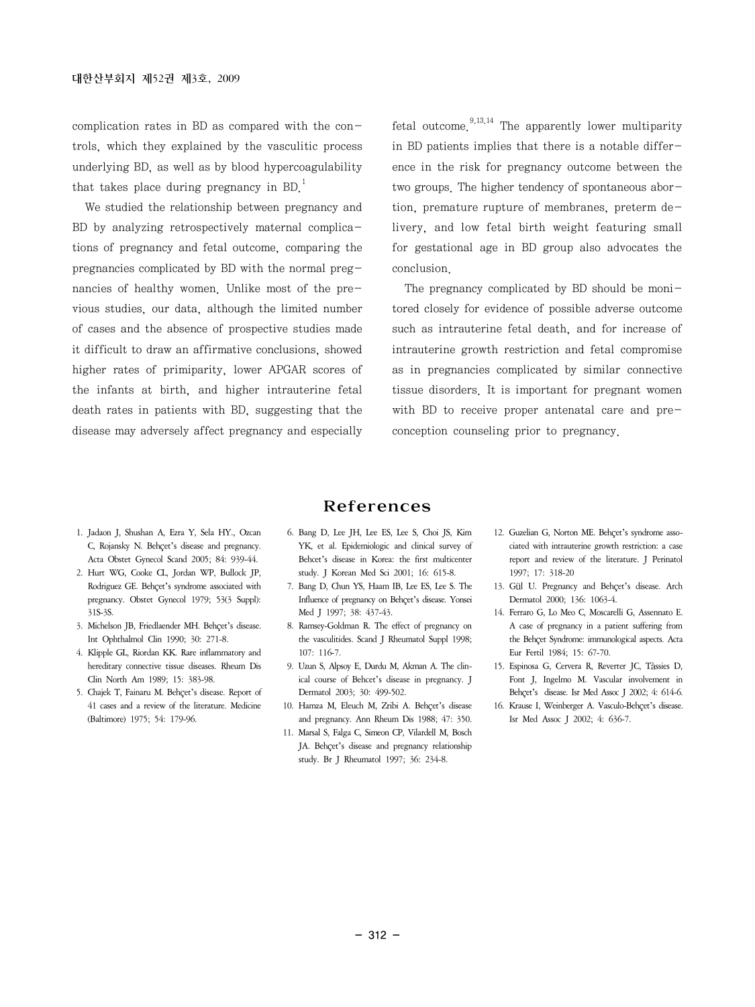complication rates in BD as compared with the controls, which they explained by the vasculitic process underlying BD, as well as by blood hypercoagulability that takes place during pregnancy in BD.<sup>1</sup>

We studied the relationship between pregnancy and BD by analyzing retrospectively maternal complications of pregnancy and fetal outcome, comparing the pregnancies complicated by BD with the normal pregnancies of healthy women. Unlike most of the previous studies, our data, although the limited number of cases and the absence of prospective studies made it difficult to draw an affirmative conclusions, showed higher rates of primiparity, lower APGAR scores of the infants at birth, and higher intrauterine fetal death rates in patients with BD, suggesting that the disease may adversely affect pregnancy and especially fetal outcome.<sup>9,13,14</sup> The apparently lower multiparity in BD patients implies that there is a notable difference in the risk for pregnancy outcome between the two groups. The higher tendency of spontaneous abortion, premature rupture of membranes, preterm delivery, and low fetal birth weight featuring small for gestational age in BD group also advocates the conclusion.

The pregnancy complicated by BD should be monitored closely for evidence of possible adverse outcome such as intrauterine fetal death, and for increase of intrauterine growth restriction and fetal compromise as in pregnancies complicated by similar connective tissue disorders. It is important for pregnant women with BD to receive proper antenatal care and preconception counseling prior to pregnancy.

#### References

- 1. Jadaon J, Shushan A, Ezra Y, Sela HY., Ozcan C, Rojansky N. Behçet's disease and pregnancy. Acta Obstet Gynecol Scand 2005; 84: 939-44.
- 2. Hurt WG, Cooke CL, Jordan WP, Bullock JP, Rodriguez GE. Behçet's syndrome associated with pregnancy. Obstet Gynecol 1979; 53(3 Suppl): 31S-3S.
- 3. Michelson JB, Friedlaender MH. Behçet's disease. Int Ophthalmol Clin 1990; 30: 271-8.
- 4. Klipple GL, Riordan KK. Rare inflammatory and hereditary connective tissue diseases. Rheum Dis Clin North Am 1989; 15: 383-98.
- 5. Chajek T, Fainaru M. Behçet's disease. Report of 41 cases and a review of the literature. Medicine (Baltimore) 1975; 54: 179-96.
- 6. Bang D, Lee JH, Lee ES, Lee S, Choi JS, Kim YK, et al. Epidemiologic and clinical survey of Behcet's disease in Korea: the first multicenter study. J Korean Med Sci 2001; 16: 615-8.
- 7. Bang D, Chun YS, Haam IB, Lee ES, Lee S. The Influence of pregnancy on Behçet's disease. Yonsei Med J 1997; 38: 437-43.
- 8. Ramsey-Goldman R. The effect of pregnancy on the vasculitides. Scand J Rheumatol Suppl 1998; 107: 116-7.
- 9. Uzun S, Alpsoy E, Durdu M, Akman A. The clinical course of Behcet's disease in pregnancy. J Dermatol 2003; 30: 499-502.
- 10. Hamza M, Eleuch M, Zribi A. Behçet's disease and pregnancy. Ann Rheum Dis 1988; 47: 350.
- 11. Marsal S, Falga C, Simeon CP, Vilardell M, Bosch IA. Behcet's disease and pregnancy relationship study. Br J Rheumatol 1997; 36: 234-8.
- 12. Guzelian G, Norton ME. Behçet's syndrome associated with intrauterine growth restriction: a case report and review of the literature. J Perinatol 1997; 17: 318-20
- 13. Gül U. Pregnancy and Behçet's disease. Arch Dermatol 2000; 136: 1063-4.
- 14. Ferraro G, Lo Meo C, Moscarelli G, Assennato E. A case of pregnancy in a patient suffering from the Behçet Syndrome: immunological aspects. Acta Eur Fertil 1984; 15: 67-70.
- 15. Espinosa G, Cervera R, Reverter JC, Tàssies D, Font J, Ingelmo M. Vascular involvement in Behçet's disease. Isr Med Assoc J 2002; 4: 614-6.
- 16. Krause I, Weinberger A. Vasculo-Behçet's disease. Isr Med Assoc J 2002; 4: 636-7.